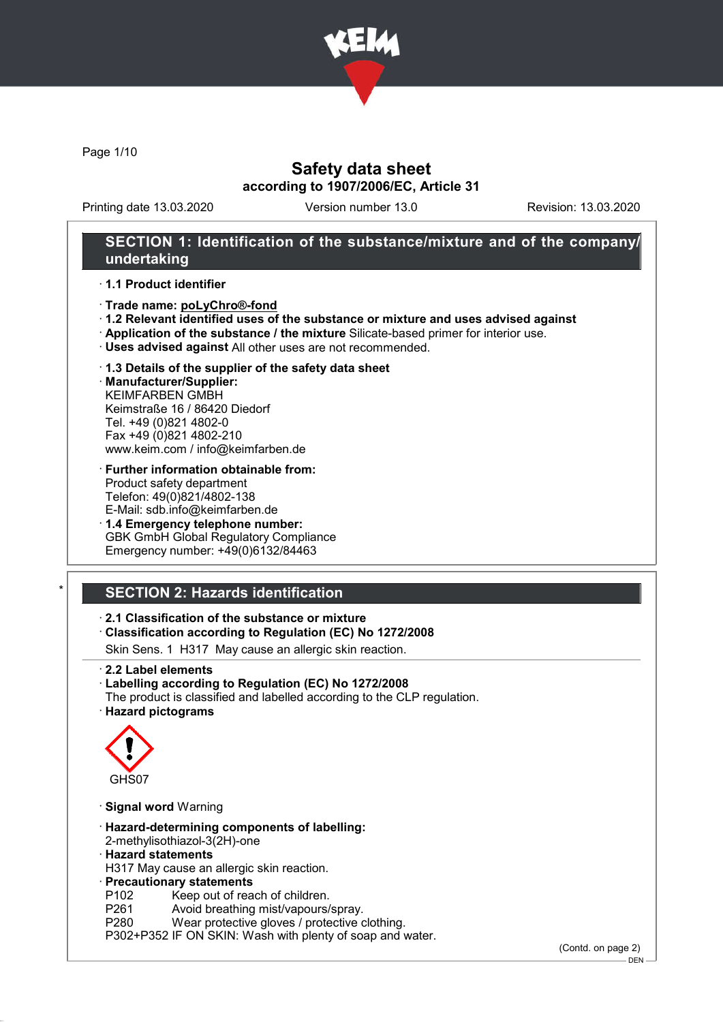

Page 1/10

# Safety data sheet according to 1907/2006/EC, Article 31

Printing date 13.03.2020 Version number 13.0 Revision: 13.03.2020

## SECTION 1: Identification of the substance/mixture and of the company/ undertaking

#### · 1.1 Product identifier

- · Trade name: poLyChro®-fond
- · 1.2 Relevant identified uses of the substance or mixture and uses advised against
- · Application of the substance / the mixture Silicate-based primer for interior use.
- · Uses advised against All other uses are not recommended.
- · 1.3 Details of the supplier of the safety data sheet · Manufacturer/Supplier:
- KEIMFARBEN GMBH Keimstraße 16 / 86420 Diedorf Tel. +49 (0)821 4802-0 Fax +49 (0)821 4802-210 www.keim.com / info@keimfarben.de
- · Further information obtainable from: Product safety department Telefon: 49(0)821/4802-138 E-Mail: sdb.info@keimfarben.de
- · 1.4 Emergency telephone number: GBK GmbH Global Regulatory Compliance Emergency number: +49(0)6132/84463

# **SECTION 2: Hazards identification**

· 2.1 Classification of the substance or mixture

· Classification according to Regulation (EC) No 1272/2008

Skin Sens. 1 H317 May cause an allergic skin reaction.

- · 2.2 Label elements
- · Labelling according to Regulation (EC) No 1272/2008
- The product is classified and labelled according to the CLP regulation.
- · Hazard pictograms



- · Signal word Warning
- · Hazard-determining components of labelling: 2-methylisothiazol-3(2H)-one
- · Hazard statements

H317 May cause an allergic skin reaction.

· Precautionary statements

- P102 Keep out of reach of children.
- P261 Avoid breathing mist/vapours/spray.<br>P280 Wear protective gloves / protective c
- Wear protective gloves / protective clothing.
- P302+P352 IF ON SKIN: Wash with plenty of soap and water.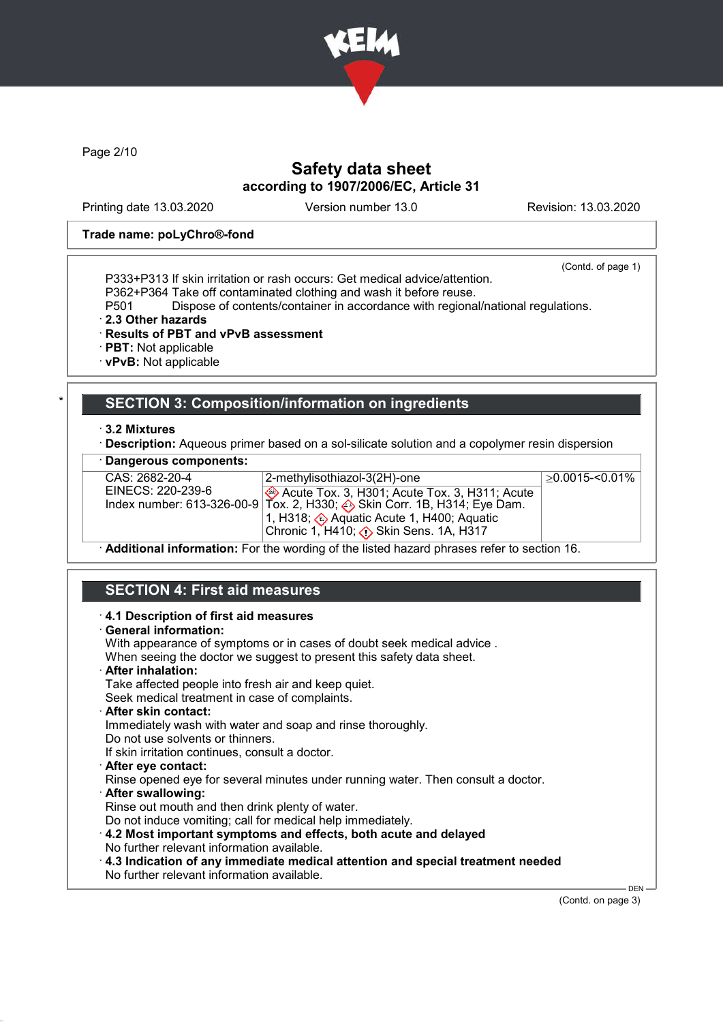

Page 2/10

# Safety data sheet according to 1907/2006/EC, Article 31

Printing date 13.03.2020 Version number 13.0 Revision: 13.03.2020

#### Trade name: poLyChro®-fond

(Contd. of page 1)

- P333+P313 If skin irritation or rash occurs: Get medical advice/attention.
- P362+P364 Take off contaminated clothing and wash it before reuse.

Dispose of contents/container in accordance with regional/national regulations.

- · 2.3 Other hazards
- · Results of PBT and vPvB assessment
- · PBT: Not applicable
- · vPvB: Not applicable

## SECTION 3: Composition/information on ingredients

#### · 3.2 Mixtures

- **Description:** Aqueous primer based on a sol-silicate solution and a copolymer resin dispersion
- Dangerous components:

| CAS: 2682-20-4                                                                           | 2-methylisothiazol-3(2H)-one                                                             | $>0.0015 - 0.01\%$ |  |  |  |
|------------------------------------------------------------------------------------------|------------------------------------------------------------------------------------------|--------------------|--|--|--|
| EINECS: 220-239-6                                                                        | Acute Tox. 3, H301; Acute Tox. 3, H311; Acute                                            |                    |  |  |  |
|                                                                                          | Index number: 613-326-00-9 Tox. 2, H330; $\leftrightarrow$ Skin Corr. 1B, H314; Eye Dam. |                    |  |  |  |
|                                                                                          | 1, H318; ۞ Aquatic Acute 1, H400; Aquatic                                                |                    |  |  |  |
|                                                                                          |                                                                                          |                    |  |  |  |
| Additional information: Ear the wording of the ligted begand phroses refer to section 16 |                                                                                          |                    |  |  |  |

· Additional information: For the wording of the listed hazard phrases refer to section 16.

# SECTION 4: First aid measures

- · 4.1 Description of first aid measures
- · General information:

With appearance of symptoms or in cases of doubt seek medical advice . When seeing the doctor we suggest to present this safety data sheet. · After inhalation: Take affected people into fresh air and keep quiet. Seek medical treatment in case of complaints. · After skin contact: Immediately wash with water and soap and rinse thoroughly. Do not use solvents or thinners. If skin irritation continues, consult a doctor. · After eye contact: Rinse opened eye for several minutes under running water. Then consult a doctor. · After swallowing: Rinse out mouth and then drink plenty of water. Do not induce vomiting; call for medical help immediately. · 4.2 Most important symptoms and effects, both acute and delayed No further relevant information available. · 4.3 Indication of any immediate medical attention and special treatment needed No further relevant information available.

(Contd. on page 3)

DEN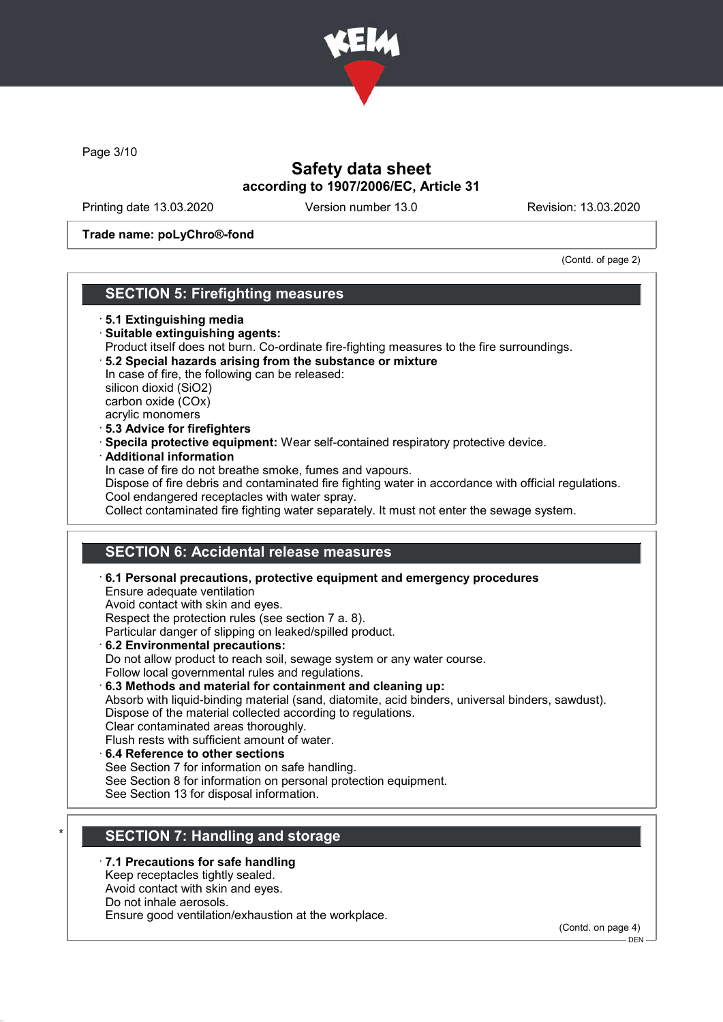

Page 3/10

# Safety data sheet according to 1907/2006/EC, Article 31

Printing date 13.03.2020 Version number 13.0 Revision: 13.03.2020

### Trade name: poLyChro®-fond

(Contd. of page 2)

## SECTION 5: Firefighting measures

#### · 5.1 Extinguishing media

- · Suitable extinguishing agents: Product itself does not burn. Co-ordinate fire-fighting measures to the fire surroundings. · 5.2 Special hazards arising from the substance or mixture In case of fire, the following can be released: silicon dioxid (SiO2) carbon oxide (COx) acrylic monomers
- · 5.3 Advice for firefighters
- · Specila protective equipment: Wear self-contained respiratory protective device.
- · Additional information

In case of fire do not breathe smoke, fumes and vapours.

Dispose of fire debris and contaminated fire fighting water in accordance with official regulations. Cool endangered receptacles with water spray.

Collect contaminated fire fighting water separately. It must not enter the sewage system.

## SECTION 6: Accidental release measures

· 6.1 Personal precautions, protective equipment and emergency procedures Ensure adequate ventilation Avoid contact with skin and eyes. Respect the protection rules (see section 7 a. 8). Particular danger of slipping on leaked/spilled product. · 6.2 Environmental precautions: Do not allow product to reach soil, sewage system or any water course. Follow local governmental rules and regulations. · 6.3 Methods and material for containment and cleaning up: Absorb with liquid-binding material (sand, diatomite, acid binders, universal binders, sawdust). Dispose of the material collected according to regulations. Clear contaminated areas thoroughly. Flush rests with sufficient amount of water. · 6.4 Reference to other sections See Section 7 for information on safe handling.

See Section 8 for information on personal protection equipment.

See Section 13 for disposal information.

## SECTION 7: Handling and storage

### 7.1 Precautions for safe handling

Keep receptacles tightly sealed.

Avoid contact with skin and eyes.

Do not inhale aerosols.

Ensure good ventilation/exhaustion at the workplace.

(Contd. on page 4)

<sup>-</sup> DEN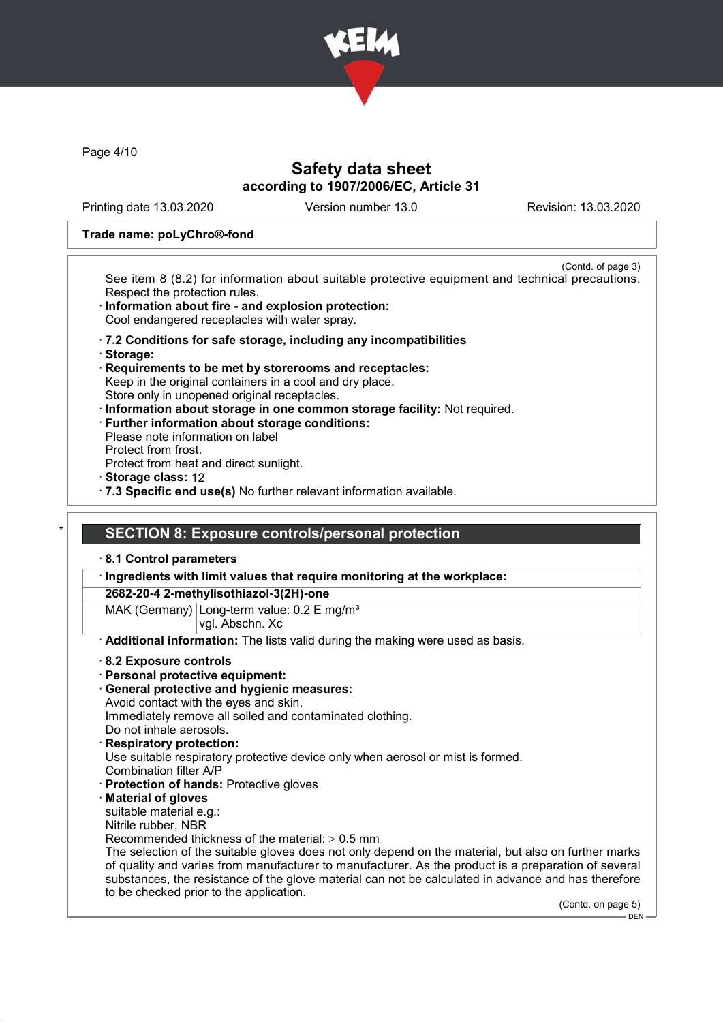

Page 4/10

# Safety data sheet according to 1907/2006/EC, Article 31

Printing date 13.03.2020 Version number 13.0 Revision: 13.03.2020

#### Trade name: poLyChro®-fond

(Contd. of page 3) See item 8 (8.2) for information about suitable protective equipment and technical precautions. Respect the protection rules.

- Information about fire and explosion protection: Cool endangered receptacles with water spray.
- · 7.2 Conditions for safe storage, including any incompatibilities
- · Storage:
- · Requirements to be met by storerooms and receptacles: Keep in the original containers in a cool and dry place. Store only in unopened original receptacles.
- · Information about storage in one common storage facility: Not required.
- · Further information about storage conditions:
- Please note information on label Protect from frost.
- Protect from heat and direct sunlight.
- · Storage class: 12
- · 7.3 Specific end use(s) No further relevant information available.

## **SECTION 8: Exposure controls/personal protection**

#### · 8.1 Control parameters

· Ingredients with limit values that require monitoring at the workplace:

### 2682-20-4 2-methylisothiazol-3(2H)-one

MAK (Germany) Long-term value:  $0.2 \text{ E mg/m}^3$ vgl. Abschn. Xc

- · Additional information: The lists valid during the making were used as basis.
- · 8.2 Exposure controls
- · Personal protective equipment:
- · General protective and hygienic measures:
- Avoid contact with the eyes and skin. Immediately remove all soiled and contaminated clothing.
- Do not inhale aerosols.
- · Respiratory protection: Use suitable respiratory protective device only when aerosol or mist is formed. Combination filter A/P
- · Protection of hands: Protective gloves
- · Material of gloves

suitable material e.g.:

- Nitrile rubber, NBR
- Recommended thickness of the material:  $> 0.5$  mm

The selection of the suitable gloves does not only depend on the material, but also on further marks of quality and varies from manufacturer to manufacturer. As the product is a preparation of several substances, the resistance of the glove material can not be calculated in advance and has therefore to be checked prior to the application.

(Contd. on page 5)

DEN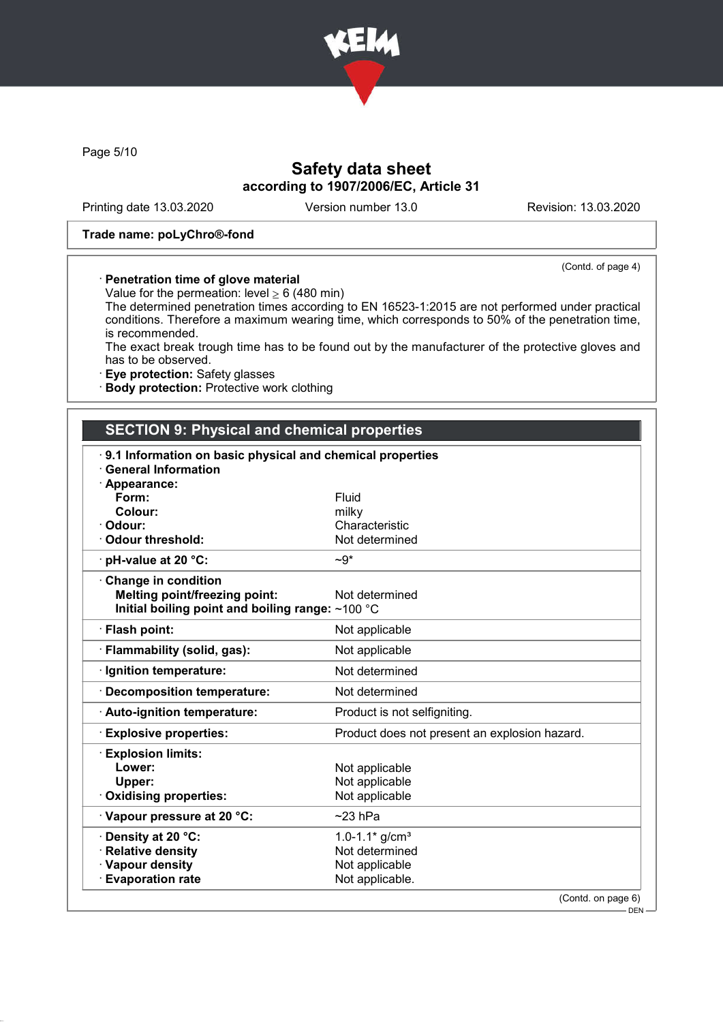

Page 5/10

# Safety data sheet according to 1907/2006/EC, Article 31

Printing date 13.03.2020 Version number 13.0 Revision: 13.03.2020

(Contd. of page 4)

#### Trade name: poLyChro®-fond

### · Penetration time of glove material

Value for the permeation: level  $\geq 6$  (480 min)

The determined penetration times according to EN 16523-1:2015 are not performed under practical conditions. Therefore a maximum wearing time, which corresponds to 50% of the penetration time, is recommended.

The exact break trough time has to be found out by the manufacturer of the protective gloves and has to be observed.

· Eye protection: Safety glasses

· Body protection: Protective work clothing

# SECTION 9: Physical and chemical properties

| 9.1 Information on basic physical and chemical properties |                                               |
|-----------------------------------------------------------|-----------------------------------------------|
| <b>General Information</b>                                |                                               |
| · Appearance:<br>Form:                                    | Fluid                                         |
| Colour:                                                   | milky                                         |
| · Odour:                                                  | Characteristic                                |
| Odour threshold:                                          | Not determined                                |
| $\cdot$ pH-value at 20 °C:                                | $-9*$                                         |
| $\cdot$ Change in condition                               |                                               |
| <b>Melting point/freezing point:</b>                      | Not determined                                |
| Initial boiling point and boiling range: ~100 °C          |                                               |
| · Flash point:                                            | Not applicable                                |
| · Flammability (solid, gas):                              | Not applicable                                |
| · Ignition temperature:                                   | Not determined                                |
| Decomposition temperature:                                | Not determined                                |
| · Auto-ignition temperature:                              | Product is not selfigniting.                  |
| <b>Explosive properties:</b>                              | Product does not present an explosion hazard. |
| <b>Explosion limits:</b>                                  |                                               |
| Lower:                                                    | Not applicable                                |
| Upper:                                                    | Not applicable                                |
| Oxidising properties:                                     | Not applicable                                |
| Vapour pressure at 20 °C:                                 | $~23$ hPa                                     |
| Density at 20 °C:                                         | 1.0-1.1* $g/cm^{3}$                           |
| <b>Relative density</b>                                   | Not determined                                |
| · Vapour density                                          | Not applicable                                |
| <b>Evaporation rate</b>                                   | Not applicable.                               |
|                                                           | (Contd. on page 6)                            |
|                                                           | DEN-                                          |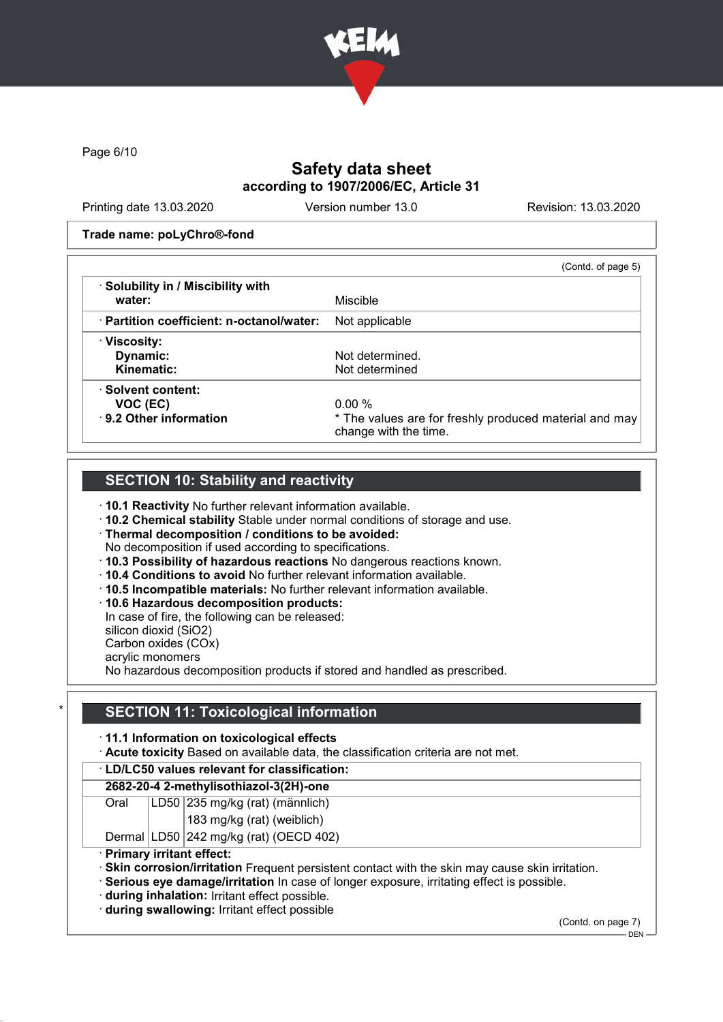

Page 6/10

# Safety data sheet according to 1907/2006/EC, Article 31

Printing date 13.03.2020 Version number 13.0 Revision: 13.03.2020

#### Trade name: poLyChro®-fond

|                                                 | (Contd. of page 5)                                                              |
|-------------------------------------------------|---------------------------------------------------------------------------------|
| · Solubility in / Miscibility with<br>water:    | Miscible                                                                        |
| $\cdot$ Partition coefficient: n-octanol/water: | Not applicable                                                                  |
| · Viscosity:                                    |                                                                                 |
| Dynamic:                                        | Not determined.                                                                 |
| Kinematic:                                      | Not determined                                                                  |
| · Solvent content:                              |                                                                                 |
| VOC (EC)                                        | $0.00\%$                                                                        |
| ⋅ 9.2 Other information                         | * The values are for freshly produced material and may<br>change with the time. |

# **SECTION 10: Stability and reactivity**

- · 10.1 Reactivity No further relevant information available.
- · 10.2 Chemical stability Stable under normal conditions of storage and use.
- · Thermal decomposition / conditions to be avoided:
- No decomposition if used according to specifications.
- · 10.3 Possibility of hazardous reactions No dangerous reactions known.
- · 10.4 Conditions to avoid No further relevant information available.
- · 10.5 Incompatible materials: No further relevant information available.
- · 10.6 Hazardous decomposition products:

In case of fire, the following can be released:

silicon dioxid (SiO2)

Carbon oxides (COx) acrylic monomers

No hazardous decomposition products if stored and handled as prescribed.

## **SECTION 11: Toxicological information**

### · 11.1 Information on toxicological effects

· Acute toxicity Based on available data, the classification criteria are not met.

### · LD/LC50 values relevant for classification:

### 2682-20-4 2-methylisothiazol-3(2H)-one

- Oral LD50 235 mg/kg (rat) (männlich)
	- 183 mg/kg (rat) (weiblich)
- Dermal LD50 242 mg/kg (rat) (OECD 402)
- 
- · Primary irritant effect:
- · Skin corrosion/irritation Frequent persistent contact with the skin may cause skin irritation.
- · Serious eye damage/irritation In case of longer exposure, irritating effect is possible.
- · during inhalation: Irritant effect possible.
- · during swallowing: Irritant effect possible

(Contd. on page 7)

 $-$  DEN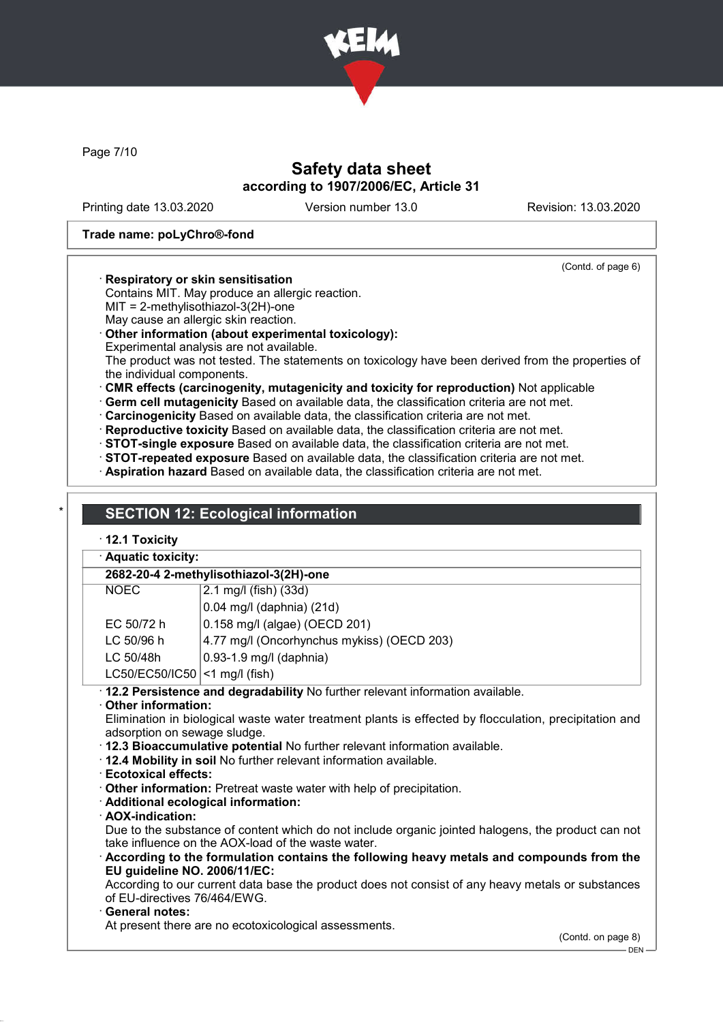

Page 7/10

# Safety data sheet according to 1907/2006/EC, Article 31

Printing date 13.03.2020 Version number 13.0 Revision: 13.03.2020

(Contd. of page 6)

### Trade name: poLyChro®-fond

### · Respiratory or skin sensitisation

- Contains MIT. May produce an allergic reaction.
- MIT = 2-methylisothiazol-3(2H)-one
- May cause an allergic skin reaction.

## · Other information (about experimental toxicology):

Experimental analysis are not available.

The product was not tested. The statements on toxicology have been derived from the properties of the individual components.

· CMR effects (carcinogenity, mutagenicity and toxicity for reproduction) Not applicable

· Germ cell mutagenicity Based on available data, the classification criteria are not met.

- · Carcinogenicity Based on available data, the classification criteria are not met.
- · Reproductive toxicity Based on available data, the classification criteria are not met.
- · STOT-single exposure Based on available data, the classification criteria are not met.
- · STOT-repeated exposure Based on available data, the classification criteria are not met.
- · Aspiration hazard Based on available data, the classification criteria are not met.

# **SECTION 12: Ecological information**

## · 12.1 Toxicity

| · Aquatic toxicity:             |                                                                                 |
|---------------------------------|---------------------------------------------------------------------------------|
|                                 | 2682-20-4 2-methylisothiazol-3(2H)-one                                          |
| <b>NOEC</b>                     | 2.1 mg/l (fish) (33d)                                                           |
|                                 | $0.04$ mg/l (daphnia) (21d)                                                     |
| EC 50/72 h                      | 0.158 mg/l (algae) (OECD 201)                                                   |
| LC 50/96 h                      | 4.77 mg/l (Oncorhynchus mykiss) (OECD 203)                                      |
| LC 50/48h                       | $0.93 - 1.9$ mg/l (daphnia)                                                     |
| $LC50/EC50/IC50$ <1 mg/l (fish) |                                                                                 |
|                                 | · 12.2 Persistence and degradability No further relevant information available. |

### · Other information:

Elimination in biological waste water treatment plants is effected by flocculation, precipitation and adsorption on sewage sludge.

- · 12.3 Bioaccumulative potential No further relevant information available.
- · 12.4 Mobility in soil No further relevant information available.
- · Ecotoxical effects:
- · Other information: Pretreat waste water with help of precipitation.
- · Additional ecological information:
- · AOX-indication:

Due to the substance of content which do not include organic jointed halogens, the product can not take influence on the AOX-load of the waste water.

· According to the formulation contains the following heavy metals and compounds from the EU guideline NO. 2006/11/EC:

According to our current data base the product does not consist of any heavy metals or substances of EU-directives 76/464/EWG.

### General notes:

At present there are no ecotoxicological assessments.

DEN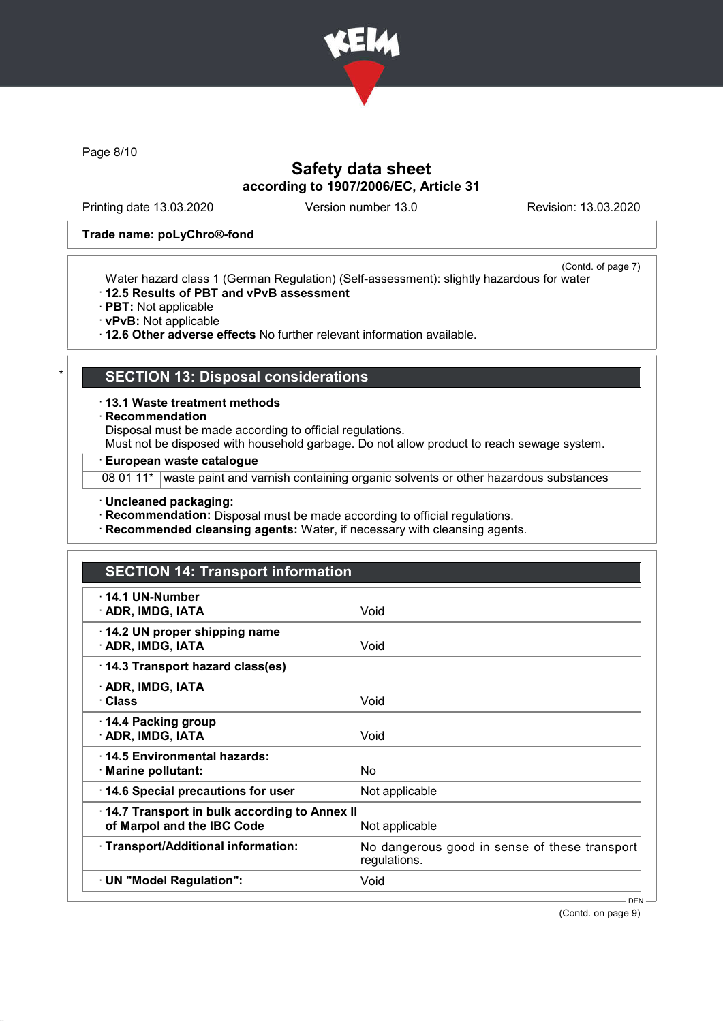

Page 8/10

# Safety data sheet according to 1907/2006/EC, Article 31

Printing date 13.03.2020 Version number 13.0 Revision: 13.03.2020

### Trade name: poLyChro®-fond

(Contd. of page 7) Water hazard class 1 (German Regulation) (Self-assessment): slightly hazardous for water

- · 12.5 Results of PBT and vPvB assessment
- · PBT: Not applicable
- · vPvB: Not applicable

· 12.6 Other adverse effects No further relevant information available.

# **SECTION 13: Disposal considerations**

· 13.1 Waste treatment methods

· Recommendation

Disposal must be made according to official regulations.

Must not be disposed with household garbage. Do not allow product to reach sewage system.

· European waste catalogue

08 01 11\* waste paint and varnish containing organic solvents or other hazardous substances

· Uncleaned packaging:

· Recommendation: Disposal must be made according to official regulations.

· Recommended cleansing agents: Water, if necessary with cleansing agents.

# SECTION 14: Transport information · 14.1 UN-Number · ADR, IMDG, IATA Void · 14.2 UN proper shipping name · ADR, IMDG, IATA Void · 14.3 Transport hazard class(es) · ADR, IMDG, IATA · Class Void · 14.4 Packing group · ADR, IMDG, IATA Void · 14.5 Environmental hazards: · Marine pollutant: No  $\cdot$  14.6 Special precautions for user Not applicable · 14.7 Transport in bulk according to Annex II of Marpol and the IBC Code Not applicable · Transport/Additional information: No dangerous good in sense of these transport regulations. · UN "Model Regulation": Void DEN

(Contd. on page 9)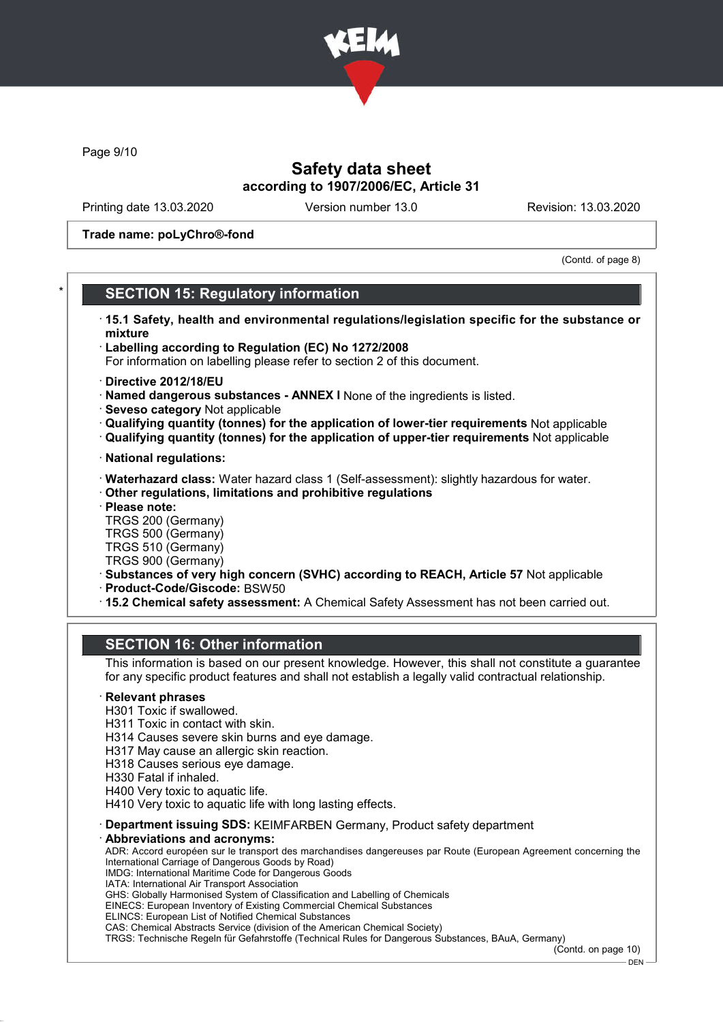

Page 9/10

# Safety data sheet according to 1907/2006/EC, Article 31

Printing date 13.03.2020 Version number 13.0 Revision: 13.03.2020

Trade name: poLyChro®-fond

(Contd. of page 8)

## **SECTION 15: Regulatory information**

- · 15.1 Safety, health and environmental regulations/legislation specific for the substance or mixture
- · Labelling according to Regulation (EC) No 1272/2008
- For information on labelling please refer to section 2 of this document.
- · Directive 2012/18/EU
- · Named dangerous substances ANNEX I None of the ingredients is listed.
- · Seveso category Not applicable
- · Qualifying quantity (tonnes) for the application of lower-tier requirements Not applicable
- · Qualifying quantity (tonnes) for the application of upper-tier requirements Not applicable
- · National regulations:
- · Waterhazard class: Water hazard class 1 (Self-assessment): slightly hazardous for water.
- · Other regulations, limitations and prohibitive regulations
- · Please note:
- TRGS 200 (Germany)
- TRGS 500 (Germany)
- TRGS 510 (Germany) TRGS 900 (Germany)
- · Substances of very high concern (SVHC) according to REACH, Article 57 Not applicable
- · Product-Code/Giscode: BSW50
- · 15.2 Chemical safety assessment: A Chemical Safety Assessment has not been carried out.

## SECTION 16: Other information

This information is based on our present knowledge. However, this shall not constitute a guarantee for any specific product features and shall not establish a legally valid contractual relationship.

### **Relevant phrases**

- H301 Toxic if swallowed.
- H311 Toxic in contact with skin.
- H314 Causes severe skin burns and eye damage.
- H317 May cause an allergic skin reaction.
- H318 Causes serious eye damage.
- H330 Fatal if inhaled.
- H400 Very toxic to aquatic life.
- H410 Very toxic to aquatic life with long lasting effects.
- · Department issuing SDS: KEIMFARBEN Germany, Product safety department
- Abbreviations and acronyms:

ADR: Accord européen sur le transport des marchandises dangereuses par Route (European Agreement concerning the International Carriage of Dangerous Goods by Road)

- IMDG: International Maritime Code for Dangerous Goods
- IATA: International Air Transport Association GHS: Globally Harmonised System of Classification and Labelling of Chemicals

EINECS: European Inventory of Existing Commercial Chemical Substances

- ELINCS: European List of Notified Chemical Substances
- CAS: Chemical Abstracts Service (division of the American Chemical Society)

TRGS: Technische Regeln für Gefahrstoffe (Technical Rules for Dangerous Substances, BAuA, Germany)

(Contd. on page 10)